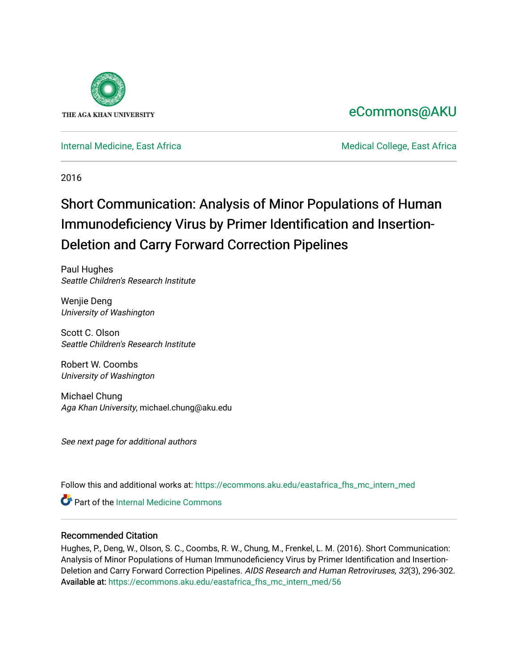

## [eCommons@AKU](https://ecommons.aku.edu/)

[Internal Medicine, East Africa](https://ecommons.aku.edu/eastafrica_fhs_mc_intern_med) **Medical College, East Africa** Medical College, East Africa

2016

# Short Communication: Analysis of Minor Populations of Human Immunodeficiency Virus by Primer Identification and Insertion-Deletion and Carry Forward Correction Pipelines

Paul Hughes Seattle Children's Research Institute

Wenjie Deng University of Washington

Scott C. Olson Seattle Children's Research Institute

Robert W. Coombs University of Washington

Michael Chung Aga Khan University, michael.chung@aku.edu

See next page for additional authors

Follow this and additional works at: [https://ecommons.aku.edu/eastafrica\\_fhs\\_mc\\_intern\\_med](https://ecommons.aku.edu/eastafrica_fhs_mc_intern_med?utm_source=ecommons.aku.edu%2Feastafrica_fhs_mc_intern_med%2F56&utm_medium=PDF&utm_campaign=PDFCoverPages) 

Part of the [Internal Medicine Commons](http://network.bepress.com/hgg/discipline/1356?utm_source=ecommons.aku.edu%2Feastafrica_fhs_mc_intern_med%2F56&utm_medium=PDF&utm_campaign=PDFCoverPages)

### Recommended Citation

Hughes, P., Deng, W., Olson, S. C., Coombs, R. W., Chung, M., Frenkel, L. M. (2016). Short Communication: Analysis of Minor Populations of Human Immunodeficiency Virus by Primer Identification and Insertion-Deletion and Carry Forward Correction Pipelines. AIDS Research and Human Retroviruses, 32(3), 296-302. Available at: [https://ecommons.aku.edu/eastafrica\\_fhs\\_mc\\_intern\\_med/56](https://ecommons.aku.edu/eastafrica_fhs_mc_intern_med/56)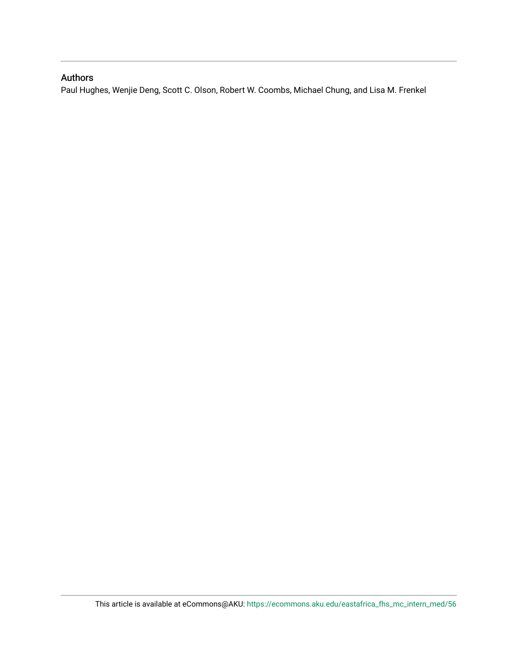### Authors

Paul Hughes, Wenjie Deng, Scott C. Olson, Robert W. Coombs, Michael Chung, and Lisa M. Frenkel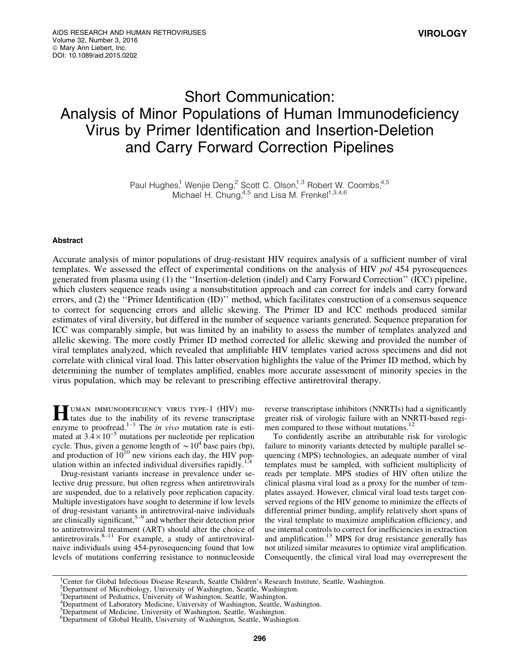## Short Communication: Analysis of Minor Populations of Human Immunodeficiency Virus by Primer Identification and Insertion-Deletion and Carry Forward Correction Pipelines

Paul Hughes,<sup>1</sup> Wenjie Deng,<sup>2</sup> Scott C. Olson,<sup>1,3</sup> Robert W. Coombs,<sup>4,5</sup> Michael H. Chung,  $4.5$  and Lisa M. Frenkel<sup>1,3,4,6</sup>

### Abstract

Accurate analysis of minor populations of drug-resistant HIV requires analysis of a sufficient number of viral templates. We assessed the effect of experimental conditions on the analysis of HIV *pol* 454 pyrosequences generated from plasma using (1) the ''Insertion-deletion (indel) and Carry Forward Correction'' (ICC) pipeline, which clusters sequence reads using a nonsubstitution approach and can correct for indels and carry forward errors, and (2) the ''Primer Identification (ID)'' method, which facilitates construction of a consensus sequence to correct for sequencing errors and allelic skewing. The Primer ID and ICC methods produced similar estimates of viral diversity, but differed in the number of sequence variants generated. Sequence preparation for ICC was comparably simple, but was limited by an inability to assess the number of templates analyzed and allelic skewing. The more costly Primer ID method corrected for allelic skewing and provided the number of viral templates analyzed, which revealed that amplifiable HIV templates varied across specimens and did not correlate with clinical viral load. This latter observation highlights the value of the Primer ID method, which by determining the number of templates amplified, enables more accurate assessment of minority species in the virus population, which may be relevant to prescribing effective antiretroviral therapy.

**HUMAN IMMUNODEFICIENCY VIRUS TYPE-1 (HIV) mu-**<br>tates due to the inability of its reverse transcriptase enzyme to proofread.<sup>1–3</sup> The *in vivo* mutation rate is estimated at  $3.4 \times 10^{-5}$  mutations per nucleotide per replication cycle. Thus, given a genome length of  $\sim 10^4$  base pairs (bp), and production of  $10^{10}$  new virions each day, the HIV population within an infected individual diversifies rapidly.<sup>1</sup>

Drug-resistant variants increase in prevalence under selective drug pressure, but often regress when antiretrovirals are suspended, due to a relatively poor replication capacity. Multiple investigators have sought to determine if low levels of drug-resistant variants in antiretroviral-naive individuals are clinically significant,  $5-9$  and whether their detection prior to antiretroviral treatment (ART) should alter the choice of antiretrovirals. $8-11$  For example, a study of antiretroviralnaive individuals using 454-pyrosequencing found that low levels of mutations conferring resistance to nonnucleoside reverse transcriptase inhibitors (NNRTIs) had a significantly greater risk of virologic failure with an NNRTI-based regimen compared to those without mutations.<sup>12</sup>

To confidently ascribe an attributable risk for virologic failure to minority variants detected by multiple parallel sequencing (MPS) technologies, an adequate number of viral templates must be sampled, with sufficient multiplicity of reads per template. MPS studies of HIV often utilize the clinical plasma viral load as a proxy for the number of templates assayed. However, clinical viral load tests target conserved regions of the HIV genome to minimize the effects of differential primer binding, amplify relatively short spans of the viral template to maximize amplification efficiency, and use internal controls to correct for inefficiencies in extraction and amplification.<sup>13</sup> MPS for drug resistance generally has not utilized similar measures to optimize viral amplification. Consequently, the clinical viral load may overrepresent the

<sup>&</sup>lt;sup>1</sup>Center for Global Infectious Disease Research, Seattle Children's Research Institute, Seattle, Washington.

<sup>2</sup> Department of Microbiology, University of Washington, Seattle, Washington. 3 Department of Pediatrics, University of Washington, Seattle, Washington.

<sup>&</sup>lt;sup>4</sup>Department of Laboratory Medicine, University of Washington, Seattle, Washington.

<sup>&</sup>lt;sup>5</sup>Department of Medicine, University of Washington, Seattle, Washington.

<sup>6</sup> Department of Global Health, University of Washington, Seattle, Washington.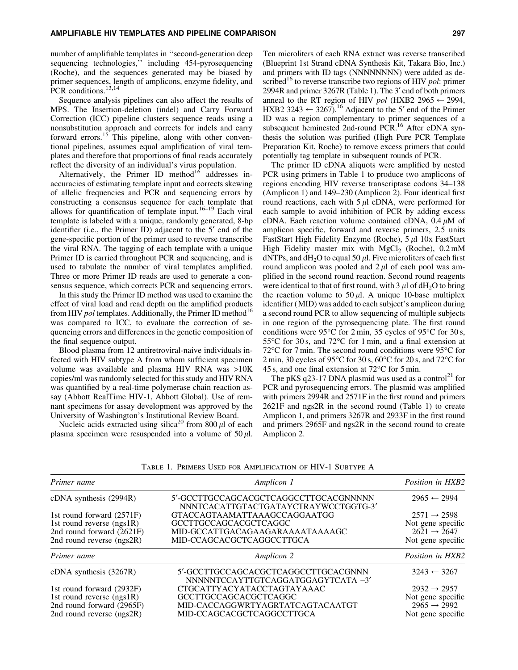number of amplifiable templates in ''second-generation deep sequencing technologies,'' including 454-pyrosequencing (Roche), and the sequences generated may be biased by primer sequences, length of amplicons, enzyme fidelity, and PCR conditions.<sup>13,14</sup>

Sequence analysis pipelines can also affect the results of MPS. The Insertion-deletion (indel) and Carry Forward Correction (ICC) pipeline clusters sequence reads using a nonsubstitution approach and corrects for indels and carry forward errors.<sup>15</sup> This pipeline, along with other conventional pipelines, assumes equal amplification of viral templates and therefore that proportions of final reads accurately reflect the diversity of an individual's virus population.

Alternatively, the Primer ID method $16$  addresses inaccuracies of estimating template input and corrects skewing of allelic frequencies and PCR and sequencing errors by constructing a consensus sequence for each template that allows for quantification of template input.<sup>16–19</sup> Each viral template is labeled with a unique, randomly generated, 8-bp identifier (i.e., the Primer ID) adjacent to the 5<sup>'</sup> end of the gene-specific portion of the primer used to reverse transcribe the viral RNA. The tagging of each template with a unique Primer ID is carried throughout PCR and sequencing, and is used to tabulate the number of viral templates amplified. Three or more Primer ID reads are used to generate a consensus sequence, which corrects PCR and sequencing errors.

In this study the Primer ID method was used to examine the effect of viral load and read depth on the amplified products from HIV *pol* templates. Additionally, the Primer ID method<sup>16</sup> was compared to ICC, to evaluate the correction of sequencing errors and differences in the genetic composition of the final sequence output.

Blood plasma from 12 antiretroviral-naive individuals infected with HIV subtype A from whom sufficient specimen volume was available and plasma HIV RNA was >10K copies/ml was randomly selected for this study and HIV RNA was quantified by a real-time polymerase chain reaction assay (Abbott RealTime HIV-1, Abbott Global). Use of remnant specimens for assay development was approved by the University of Washington's Institutional Review Board.

Nucleic acids extracted using silica<sup>20</sup> from 800  $\mu$ l of each plasma specimen were resuspended into a volume of  $50 \mu$ . Ten microliters of each RNA extract was reverse transcribed (Blueprint 1st Strand cDNA Synthesis Kit, Takara Bio, Inc.) and primers with ID tags (NNNNNNNN) were added as described<sup>16</sup> to reverse transcribe two regions of HIV *pol*: primer 2994R and primer 3267R (Table 1). The 3¢ end of both primers anneal to the RT region of HIV *pol* (HXB2 2965  $\leftarrow$  2994, HXB2 3243  $\leftarrow$  3267).<sup>16</sup> Adjacent to the 5<sup> $\prime$ </sup> end of the Primer ID was a region complementary to primer sequences of a subsequent heminested 2nd-round PCR.<sup>16</sup> After cDNA synthesis the solution was purified (High Pure PCR Template Preparation Kit, Roche) to remove excess primers that could potentially tag template in subsequent rounds of PCR.

The primer ID cDNA aliquots were amplified by nested PCR using primers in Table 1 to produce two amplicons of regions encoding HIV reverse transcriptase codons 34–138 (Amplicon 1) and 149–230 (Amplicon 2). Four identical first round reactions, each with  $5 \mu$ l cDNA, were performed for each sample to avoid inhibition of PCR by adding excess cDNA. Each reaction volume contained cDNA,  $0.4 \mu M$  of amplicon specific, forward and reverse primers, 2.5 units FastStart High Fidelity Enzyme (Roche),  $5 \mu$ l 10x FastStart High Fidelity master mix with  $MgCl<sub>2</sub>$  (Roche), 0.2 mM dNTPs, and  $dH_2O$  to equal 50  $\mu$ l. Five microliters of each first round amplicon was pooled and  $2 \mu$  of each pool was amplified in the second round reaction. Second round reagents were identical to that of first round, with  $3 \mu$  of dH<sub>2</sub>O to bring the reaction volume to 50  $\mu$ l. A unique 10-base multiplex identifier (MID) was added to each subject's amplicon during a second round PCR to allow sequencing of multiple subjects in one region of the pyrosequencing plate. The first round conditions were 95 $\degree$ C for 2 min, 35 cycles of 95 $\degree$ C for 30 s, 55 $\degree$ C for 30 s, and 72 $\degree$ C for 1 min, and a final extension at 72 $\degree$ C for 7 min. The second round conditions were 95 $\degree$ C for  $2 \text{ min}$ ,  $30 \text{ cycles of } 95^{\circ} \text{C}$  for  $30 \text{ s}$ ,  $60^{\circ} \text{C}$  for  $20 \text{ s}$ , and  $72^{\circ} \text{C}$  for 45 s, and one final extension at  $72^{\circ}$ C for 5 min.

The pKS q23-17 DNA plasmid was used as a control<sup>21</sup> for PCR and pyrosequencing errors. The plasmid was amplified with primers 2994R and 2571F in the first round and primers 2621F and ngs2R in the second round (Table 1) to create Amplicon 1, and primers 3267R and 2933F in the first round and primers 2965F and ngs2R in the second round to create Amplicon 2.

| Primer name                 | Amplicon 1                                                                    | Position in HXB2                             |  |
|-----------------------------|-------------------------------------------------------------------------------|----------------------------------------------|--|
| cDNA synthesis (2994R)      | 5'-GCCTTGCCAGCACGCTCAGGCCTTGCACGNNNNN<br>NNNTCACATTGTACTGATAYCTRAYWCCTGGTG-3' | $2965 \leftarrow 2994$                       |  |
| 1st round forward $(2571F)$ | $2571 \rightarrow 2598$                                                       |                                              |  |
| 1st round reverse $(ngs1R)$ | GCCTTGCCAGCACGCTCAGGC                                                         | Not gene specific                            |  |
| 2nd round forward $(2621F)$ | MID-GCCATTGACAGAAGARAAAATAAAAGC                                               | $2621 \rightarrow 2647$                      |  |
| 2nd round reverse (ngs2R)   | MID-CCAGCACGCTCAGGCCTTGCA                                                     | Not gene specific                            |  |
| Amplicon 2<br>Primer name   |                                                                               | Position in HXB2                             |  |
|                             |                                                                               |                                              |  |
| $cDNA$ synthesis $(3267R)$  | 5'-GCCTTGCCAGCACGCTCAGGCCTTGCACGNNN<br>NNNNNTCCAYTTGTCAGGATGGAGYTCATA -3'     | $3243 \leftarrow 3267$                       |  |
| 1st round forward (2932F)   | CTGCATTYACYATACCTAGTAYAAAC                                                    | $2932 \rightarrow 2957$                      |  |
| 1st round reverse $(ngs1R)$ | GCCTTGCCAGCACGCTCAGGC                                                         |                                              |  |
| 2nd round forward (2965F)   | MID-CACCAGGWRTYAGRTATCAGTACAATGT                                              | Not gene specific<br>$2965 \rightarrow 2992$ |  |

Table 1. Primers Used for Amplification of HIV-1 Subtype A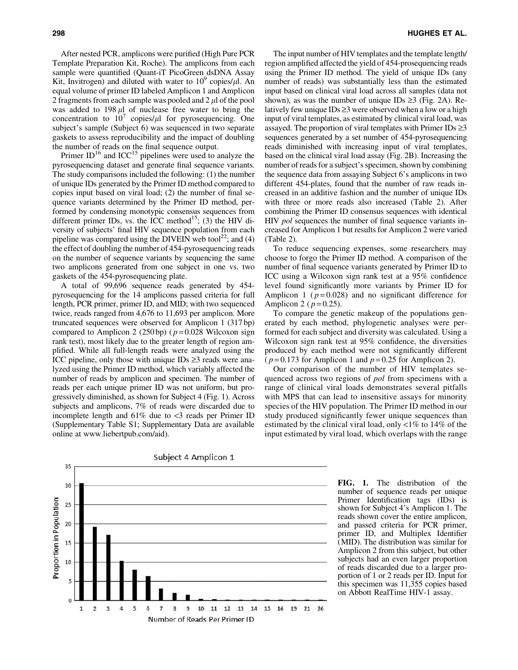After nested PCR, amplicons were purified (High Pure PCR Template Preparation Kit, Roche). The amplicons from each sample were quantified (Quant-iT PicoGreen dsDNA Assay Kit, Invitrogen) and diluted with water to  $10^9$  copies/ $\mu$ l. An equal volume of primer ID labeled Amplicon 1 and Amplicon 2 fragments from each sample was pooled and  $2 \mu$  of the pool was added to  $198 \mu l$  of nuclease free water to bring the concentration to  $10^7$  copies/ $\mu$ l for pyrosequencing. One subject's sample (Subject 6) was sequenced in two separate gaskets to assess reproducibility and the impact of doubling the number of reads on the final sequence output.

Primer  $ID^{16}$  and ICC<sup>15</sup> pipelines were used to analyze the pyrosequencing dataset and generate final sequence variants. The study comparisons included the following: (1) the number of unique IDs generated by the Primer ID method compared to copies input based on viral load; (2) the number of final sequence variants determined by the Primer ID method, performed by condensing monotypic consensus sequences from different primer IDs, vs. the ICC method<sup>15</sup>; (3) the HIV diversity of subjects' final HIV sequence population from each pipeline was compared using the DIVEIN web tool<sup>22</sup>; and (4) the effect of doubling the number of 454-pyrosequencing reads on the number of sequence variants by sequencing the same two amplicons generated from one subject in one vs. two gaskets of the 454-pyrosequencing plate.

A total of 99,696 sequence reads generated by 454 pyrosequencing for the 14 amplicons passed criteria for full length, PCR primer, primer ID, and MID; with two sequenced twice, reads ranged from 4,676 to 11,693 per amplicon. More truncated sequences were observed for Amplicon 1 (317 bp) compared to Amplicon 2 (250 bp) ( *p* = 0.028 Wilcoxon sign rank test), most likely due to the greater length of region amplified. While all full-length reads were analyzed using the ICC pipeline, only those with unique IDs  $\geq$ 3 reads were analyzed using the Primer ID method, which variably affected the number of reads by amplicon and specimen. The number of reads per each unique primer ID was not uniform, but progressively diminished, as shown for Subject 4 (Fig. 1). Across subjects and amplicons, 7% of reads were discarded due to incomplete length and  $61\%$  due to  $\lt3$  reads per Primer ID (Supplementary Table S1; Supplementary Data are available online at www.liebertpub.com/aid).

The input number of HIV templates and the template length/ region amplified affected the yield of 454-prosequencing reads using the Primer ID method. The yield of unique IDs (any number of reads) was substantially less than the estimated input based on clinical viral load across all samples (data not shown), as was the number of unique IDs  $\geq 3$  (Fig. 2A). Relatively few unique IDs  $\geq 3$  were observed when a low or a high input of viral templates, as estimated by clinical viral load, was assayed. The proportion of viral templates with Primer IDs  $\geq$ 3 sequences generated by a set number of 454-pyrosequencing reads diminished with increasing input of viral templates, based on the clinical viral load assay (Fig. 2B). Increasing the number of reads for a subject's specimen, shown by combining the sequence data from assaying Subject 6's amplicons in two different 454-plates, found that the number of raw reads increased in an additive fashion and the number of unique IDs with three or more reads also increased (Table 2). After combining the Primer ID consensus sequences with identical HIV *pol* sequences the number of final sequence variants increased for Amplicon 1 but results for Amplicon 2 were varied (Table 2).

To reduce sequencing expenses, some researchers may choose to forgo the Primer ID method. A comparison of the number of final sequence variants generated by Primer ID to ICC using a Wilcoxon sign rank test at a 95% confidence level found significantly more variants by Primer ID for Amplicon 1 ( $p = 0.028$ ) and no significant difference for Amplicon 2 ( $p = 0.25$ ).

To compare the genetic makeup of the populations generated by each method, phylogenetic analyses were performed for each subject and diversity was calculated. Using a Wilcoxon sign rank test at 95% confidence, the diversities produced by each method were not significantly different ( $p = 0.173$  for Amplicon 1 and  $p = 0.25$  for Amplicon 2).

Our comparison of the number of HIV templates sequenced across two regions of *pol* from specimens with a range of clinical viral loads demonstrates several pitfalls with MPS that can lead to insensitive assays for minority species of the HIV population. The Primer ID method in our study produced significantly fewer unique sequences than estimated by the clinical viral load, only <1% to 14% of the input estimated by viral load, which overlaps with the range



FIG. 1. The distribution of the number of sequence reads per unique Primer Identification tags (IDs) is shown for Subject 4's Amplicon 1. The reads shown cover the entire amplicon, and passed criteria for PCR primer, primer ID, and Multiplex Identifier (MID). The distribution was similar for Amplicon 2 from this subject, but other subjects had an even larger proportion of reads discarded due to a larger proportion of 1 or 2 reads per ID. Input for this specimen was 11,355 copies based on Abbott RealTime HIV-1 assay.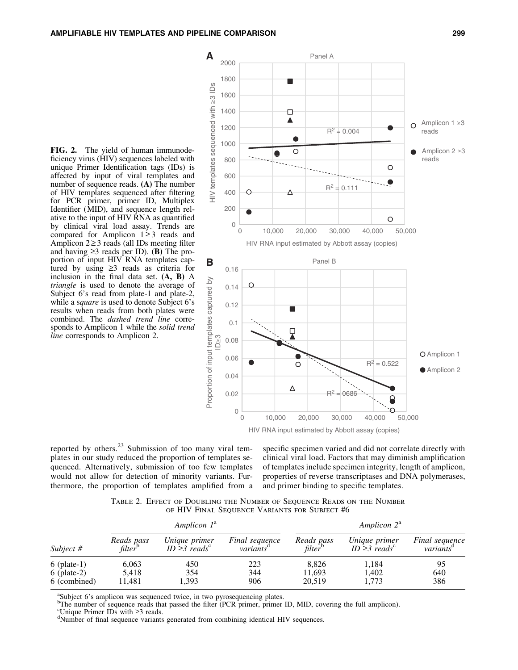



reported by others. $2<sup>3</sup>$  Submission of too many viral templates in our study reduced the proportion of templates sequenced. Alternatively, submission of too few templates would not allow for detection of minority variants. Furthermore, the proportion of templates amplified from a

specific specimen varied and did not correlate directly with clinical viral load. Factors that may diminish amplification of templates include specimen integrity, length of amplicon, properties of reverse transcriptases and DNA polymerases, and primer binding to specific templates.

Table 2. Effect of Doubling the Number of Sequence Reads on the Number of HIV Final Sequence Variants for Subject #6

| Subject $#$                                    | Amplicon $1^a$                    |                                                 |                                         | Amplicon $2^a$                    |                                                 |                                         |
|------------------------------------------------|-----------------------------------|-------------------------------------------------|-----------------------------------------|-----------------------------------|-------------------------------------------------|-----------------------------------------|
|                                                | Reads pass<br>filter <sup>b</sup> | Unique primer<br>ID $\geq$ 3 reads <sup>c</sup> | Final sequence<br>variants <sup>a</sup> | Reads pass<br>filter <sup>b</sup> | Unique primer<br>ID $\geq$ 3 reads <sup>c</sup> | Final sequence<br>variants <sup>a</sup> |
| $6$ (plate-1)<br>$6$ (plate-2)<br>6 (combined) | 6,063<br>5.418<br>11.481          | 450<br>354<br>1,393                             | 223<br>344<br>906                       | 8,826<br>11,693<br>20,519         | 1,184<br>1,402<br>1,773                         | 95<br>640<br>386                        |

<sup>a</sup>Subject 6's amplicon was sequenced twice, in two pyrosequencing plates.

<sup>b</sup>The number of sequence reads that passed the filter (PCR primer, primer ID, MID, covering the full amplicon).

<sup>c</sup>Unique Primer IDs with  $\geq$ 3 reads.

Number of final sequence variants generated from combining identical HIV sequences.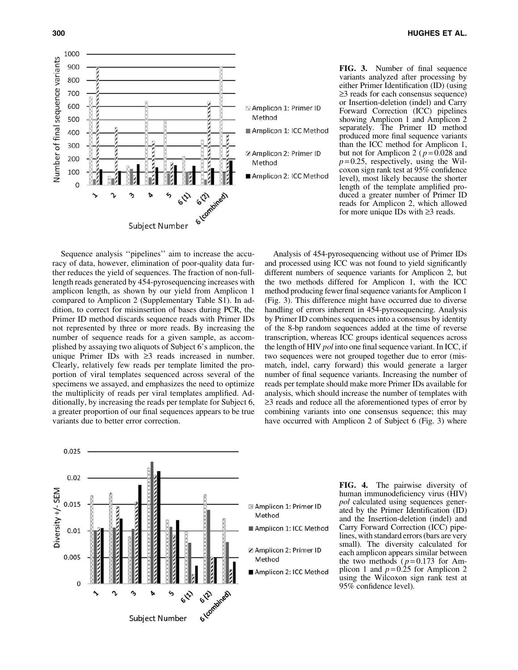

FIG. 3. Number of final sequence variants analyzed after processing by either Primer Identification (ID) (using  $\geq$ 3 reads for each consensus sequence) or Insertion-deletion (indel) and Carry Forward Correction (ICC) pipelines showing Amplicon 1 and Amplicon 2 separately. The Primer ID method produced more final sequence variants than the ICC method for Amplicon 1, but not for Amplicon 2 ( $p = 0.028$  and  $p=0.25$ , respectively, using the Wilcoxon sign rank test at 95% confidence level), most likely because the shorter length of the template amplified produced a greater number of Primer ID reads for Amplicon 2, which allowed for more unique IDs with  $\geq 3$  reads.

Sequence analysis ''pipelines'' aim to increase the accuracy of data, however, elimination of poor-quality data further reduces the yield of sequences. The fraction of non-fulllength reads generated by 454-pyrosequencing increases with amplicon length, as shown by our yield from Amplicon 1 compared to Amplicon 2 (Supplementary Table S1). In addition, to correct for misinsertion of bases during PCR, the Primer ID method discards sequence reads with Primer IDs not represented by three or more reads. By increasing the number of sequence reads for a given sample, as accomplished by assaying two aliquots of Subject 6's amplicon, the unique Primer IDs with  $\geq 3$  reads increased in number. Clearly, relatively few reads per template limited the proportion of viral templates sequenced across several of the specimens we assayed, and emphasizes the need to optimize the multiplicity of reads per viral templates amplified. Additionally, by increasing the reads per template for Subject 6, a greater proportion of our final sequences appears to be true variants due to better error correction.

Analysis of 454-pyrosequencing without use of Primer IDs and processed using ICC was not found to yield significantly different numbers of sequence variants for Amplicon 2, but the two methods differed for Amplicon 1, with the ICC method producing fewer final sequence variants for Amplicon 1 (Fig. 3). This difference might have occurred due to diverse handling of errors inherent in 454-pyrosequencing. Analysis by Primer ID combines sequences into a consensus by identity of the 8-bp random sequences added at the time of reverse transcription, whereas ICC groups identical sequences across the length of HIV *pol* into one final sequence variant. In ICC, if two sequences were not grouped together due to error (mismatch, indel, carry forward) this would generate a larger number of final sequence variants. Increasing the number of reads per template should make more Primer IDs available for analysis, which should increase the number of templates with  $\geq$ 3 reads and reduce all the aforementioned types of error by combining variants into one consensus sequence; this may have occurred with Amplicon 2 of Subject 6 (Fig. 3) where



FIG. 4. The pairwise diversity of human immunodeficiency virus (HIV) *pol* calculated using sequences generated by the Primer Identification (ID) and the Insertion-deletion (indel) and Carry Forward Correction (ICC) pipelines, with standard errors (bars are very small). The diversity calculated for each amplicon appears similar between the two methods ( $p = 0.173$  for Amplicon 1 and  $p=0.25$  for Amplicon 2 using the Wilcoxon sign rank test at 95% confidence level).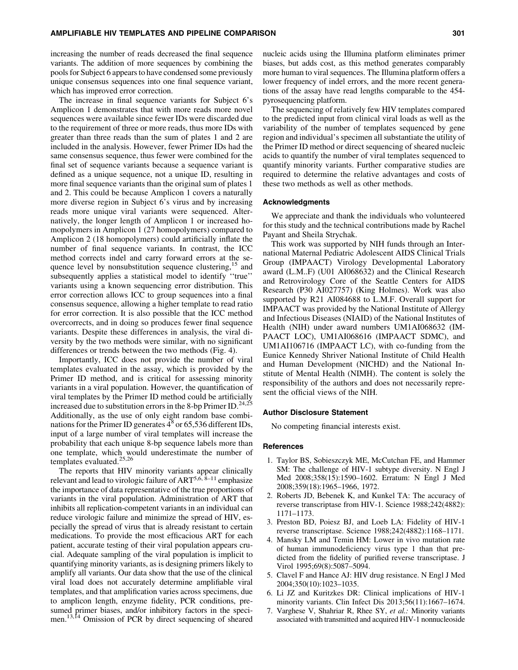increasing the number of reads decreased the final sequence variants. The addition of more sequences by combining the pools for Subject 6 appears to have condensed some previously unique consensus sequences into one final sequence variant, which has improved error correction.

The increase in final sequence variants for Subject 6's Amplicon 1 demonstrates that with more reads more novel sequences were available since fewer IDs were discarded due to the requirement of three or more reads, thus more IDs with greater than three reads than the sum of plates 1 and 2 are included in the analysis. However, fewer Primer IDs had the same consensus sequence, thus fewer were combined for the final set of sequence variants because a sequence variant is defined as a unique sequence, not a unique ID, resulting in more final sequence variants than the original sum of plates 1 and 2. This could be because Amplicon 1 covers a naturally more diverse region in Subject 6's virus and by increasing reads more unique viral variants were sequenced. Alternatively, the longer length of Amplicon 1 or increased homopolymers in Amplicon 1 (27 homopolymers) compared to Amplicon 2 (18 homopolymers) could artificially inflate the number of final sequence variants. In contrast, the ICC method corrects indel and carry forward errors at the sequence level by nonsubstitution sequence clustering,<sup>15</sup> and subsequently applies a statistical model to identify ''true'' variants using a known sequencing error distribution. This error correction allows ICC to group sequences into a final consensus sequence, allowing a higher template to read ratio for error correction. It is also possible that the ICC method overcorrects, and in doing so produces fewer final sequence variants. Despite these differences in analysis, the viral diversity by the two methods were similar, with no significant differences or trends between the two methods (Fig. 4).

Importantly, ICC does not provide the number of viral templates evaluated in the assay, which is provided by the Primer ID method, and is critical for assessing minority variants in a viral population. However, the quantification of viral templates by the Primer ID method could be artificially increased due to substitution errors in the 8-bp Primer ID.<sup>24,25</sup> Additionally, as the use of only eight random base combinations for the Primer ID generates  $4^8$  or 65,536 different IDs, input of a large number of viral templates will increase the probability that each unique 8-bp sequence labels more than one template, which would underestimate the number of templates evaluated.<sup>25,26</sup>

The reports that HIV minority variants appear clinically relevant and lead to virologic failure of ART5,6, 8–11 emphasize the importance of data representative of the true proportions of variants in the viral population. Administration of ART that inhibits all replication-competent variants in an individual can reduce virologic failure and minimize the spread of HIV, especially the spread of virus that is already resistant to certain medications. To provide the most efficacious ART for each patient, accurate testing of their viral population appears crucial. Adequate sampling of the viral population is implicit to quantifying minority variants, as is designing primers likely to amplify all variants. Our data show that the use of the clinical viral load does not accurately determine amplifiable viral templates, and that amplification varies across specimens, due to amplicon length, enzyme fidelity, PCR conditions, presumed primer biases, and/or inhibitory factors in the specimen.<sup>13,14</sup> Omission of PCR by direct sequencing of sheared nucleic acids using the Illumina platform eliminates primer biases, but adds cost, as this method generates comparably more human to viral sequences. The Illumina platform offers a lower frequency of indel errors, and the more recent generations of the assay have read lengths comparable to the 454 pyrosequencing platform.

The sequencing of relatively few HIV templates compared to the predicted input from clinical viral loads as well as the variability of the number of templates sequenced by gene region and individual's specimen all substantiate the utility of the Primer ID method or direct sequencing of sheared nucleic acids to quantify the number of viral templates sequenced to quantify minority variants. Further comparative studies are required to determine the relative advantages and costs of these two methods as well as other methods.

### Acknowledgments

We appreciate and thank the individuals who volunteered for this study and the technical contributions made by Rachel Payant and Sheila Strychak.

This work was supported by NIH funds through an International Maternal Pediatric Adolescent AIDS Clinical Trials Group (IMPAACT) Virology Developmental Laboratory award (L.M..F) (U01 AI068632) and the Clinical Research and Retrovirology Core of the Seattle Centers for AIDS Research (P30 AI027757) (King Holmes). Work was also supported by R21 AI084688 to L.M.F. Overall support for IMPAACT was provided by the National Institute of Allergy and Infectious Diseases (NIAID) of the National Institutes of Health (NIH) under award numbers UM1AI068632 (IM-PAACT LOC), UM1AI068616 (IMPAACT SDMC), and UM1AI106716 (IMPAACT LC), with co-funding from the Eunice Kennedy Shriver National Institute of Child Health and Human Development (NICHD) and the National Institute of Mental Health (NIMH). The content is solely the responsibility of the authors and does not necessarily represent the official views of the NIH.

#### Author Disclosure Statement

No competing financial interests exist.

#### References

- 1. Taylor BS, Sobieszczyk ME, McCutchan FE, and Hammer SM: The challenge of HIV-1 subtype diversity. N Engl J Med 2008;358(15):1590–1602. Erratum: N Engl J Med 2008;359(18):1965–1966, 1972.
- 2. Roberts JD, Bebenek K, and Kunkel TA: The accuracy of reverse transcriptase from HIV-1. Science 1988;242(4882): 1171–1173.
- 3. Preston BD, Poiesz BJ, and Loeb LA: Fidelity of HIV-1 reverse transcriptase. Science 1988;242(4882):1168–1171.
- 4. Mansky LM and Temin HM: Lower in vivo mutation rate of human immunodeficiency virus type 1 than that predicted from the fidelity of purified reverse transcriptase. J Virol 1995;69(8):5087–5094.
- 5. Clavel F and Hance AJ: HIV drug resistance. N Engl J Med 2004;350(10):1023–1035.
- 6. Li JZ and Kuritzkes DR: Clinical implications of HIV-1 minority variants. Clin Infect Dis 2013;56(11):1667–1674.
- 7. Varghese V, Shahriar R, Rhee SY, *et al.:* Minority variants associated with transmitted and acquired HIV-1 nonnucleoside